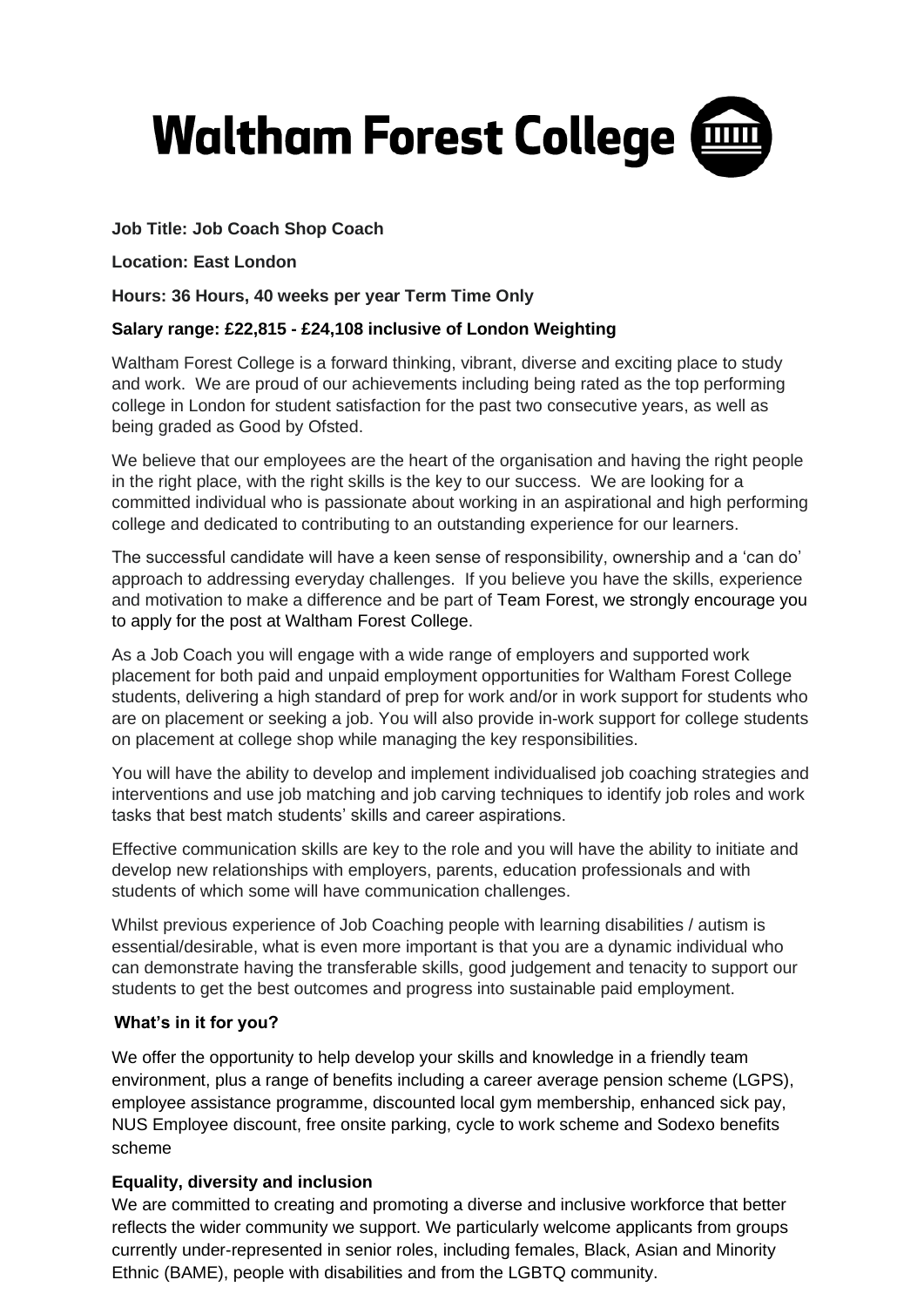

## **Job Title: Job Coach Shop Coach**

**Location: East London**

**Hours: 36 Hours, 40 weeks per year Term Time Only**

## **Salary range: £22,815 - £24,108 inclusive of London Weighting**

Waltham Forest College is a forward thinking, vibrant, diverse and exciting place to study and work. We are proud of our achievements including being rated as the top performing college in London for student satisfaction for the past two consecutive years, as well as being graded as Good by Ofsted.

We believe that our employees are the heart of the organisation and having the right people in the right place, with the right skills is the key to our success. We are looking for a committed individual who is passionate about working in an aspirational and high performing college and dedicated to contributing to an outstanding experience for our learners.

The successful candidate will have a keen sense of responsibility, ownership and a 'can do' approach to addressing everyday challenges. If you believe you have the skills, experience and motivation to make a difference and be part of Team Forest, we strongly encourage you to apply for the post at Waltham Forest College.

As a Job Coach you will engage with a wide range of employers and supported work placement for both paid and unpaid employment opportunities for Waltham Forest College students, delivering a high standard of prep for work and/or in work support for students who are on placement or seeking a job. You will also provide in-work support for college students on placement at college shop while managing the key responsibilities.

You will have the ability to develop and implement individualised job coaching strategies and interventions and use job matching and job carving techniques to identify job roles and work tasks that best match students' skills and career aspirations.

Effective communication skills are key to the role and you will have the ability to initiate and develop new relationships with employers, parents, education professionals and with students of which some will have communication challenges.

Whilst previous experience of Job Coaching people with learning disabilities / autism is essential/desirable, what is even more important is that you are a dynamic individual who can demonstrate having the transferable skills, good judgement and tenacity to support our students to get the best outcomes and progress into sustainable paid employment.

### **What's in it for you?**

We offer the opportunity to help develop your skills and knowledge in a friendly team environment, plus a range of benefits including a career average pension scheme (LGPS), employee assistance programme, discounted local gym membership, enhanced sick pay, NUS Employee discount, free onsite parking, cycle to work scheme and Sodexo benefits scheme

### **Equality, diversity and inclusion**

We are committed to creating and promoting a diverse and inclusive workforce that better reflects the wider community we support. We particularly welcome applicants from groups currently under-represented in senior roles, including females, Black, Asian and Minority Ethnic (BAME), people with disabilities and from the LGBTQ community.